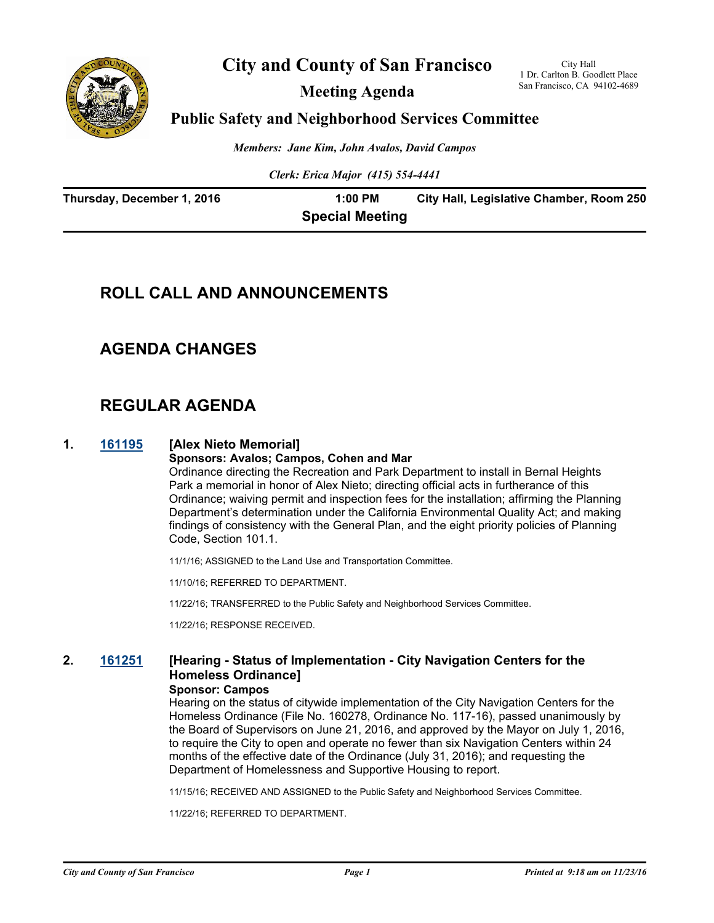

## **City and County of San Francisco**

**Meeting Agenda**

City Hall 1 Dr. Carlton B. Goodlett Place San Francisco, CA 94102-4689

## **Public Safety and Neighborhood Services Committee**

*Members: Jane Kim, John Avalos, David Campos*

*Clerk: Erica Major (415) 554-4441*

| Thursday, December 1, 2016 | 1:00 PM                | City Hall, Legislative Chamber, Room 250 |
|----------------------------|------------------------|------------------------------------------|
|                            | <b>Special Meeting</b> |                                          |

# **ROLL CALL AND ANNOUNCEMENTS**

## **AGENDA CHANGES**

# **REGULAR AGENDA**

#### **1. [161195](http://sfgov.legistar.com/gateway.aspx?m=l&id=31400) [Alex Nieto Memorial]**

**Sponsors: Avalos; Campos, Cohen and Mar**

Ordinance directing the Recreation and Park Department to install in Bernal Heights Park a memorial in honor of Alex Nieto; directing official acts in furtherance of this Ordinance; waiving permit and inspection fees for the installation; affirming the Planning Department's determination under the California Environmental Quality Act; and making findings of consistency with the General Plan, and the eight priority policies of Planning Code, Section 101.1.

11/1/16; ASSIGNED to the Land Use and Transportation Committee.

11/10/16; REFERRED TO DEPARTMENT.

11/22/16; TRANSFERRED to the Public Safety and Neighborhood Services Committee.

11/22/16; RESPONSE RECEIVED.

## **2. [161251](http://sfgov.legistar.com/gateway.aspx?m=l&id=31456) [Hearing - Status of Implementation - City Navigation Centers for the Homeless Ordinance]**

#### **Sponsor: Campos**

Hearing on the status of citywide implementation of the City Navigation Centers for the Homeless Ordinance (File No. 160278, Ordinance No. 117-16), passed unanimously by the Board of Supervisors on June 21, 2016, and approved by the Mayor on July 1, 2016, to require the City to open and operate no fewer than six Navigation Centers within 24 months of the effective date of the Ordinance (July 31, 2016); and requesting the Department of Homelessness and Supportive Housing to report.

11/15/16; RECEIVED AND ASSIGNED to the Public Safety and Neighborhood Services Committee.

11/22/16; REFERRED TO DEPARTMENT.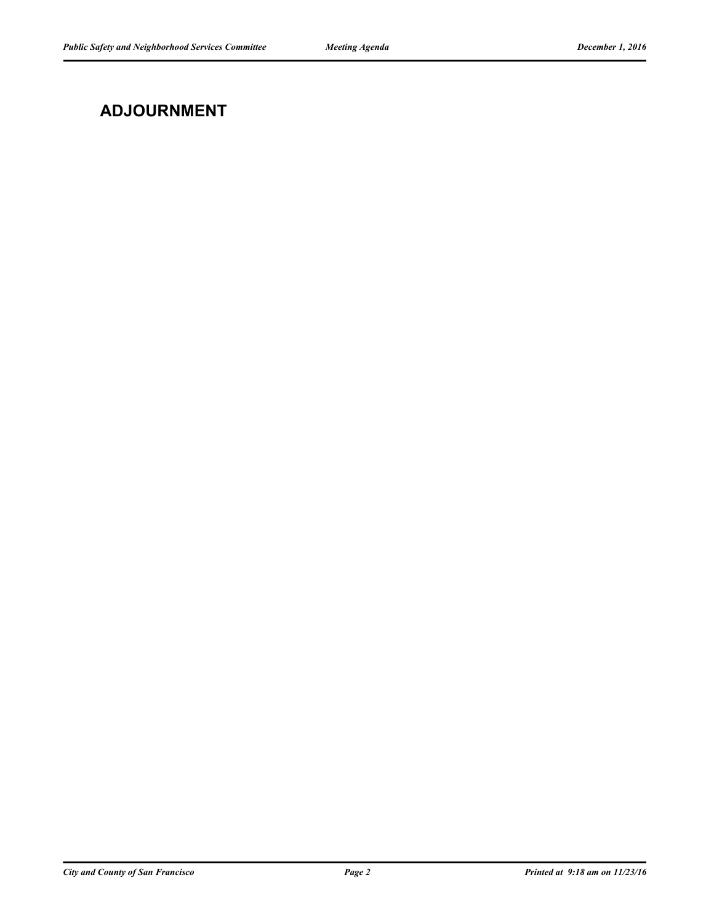# **ADJOURNMENT**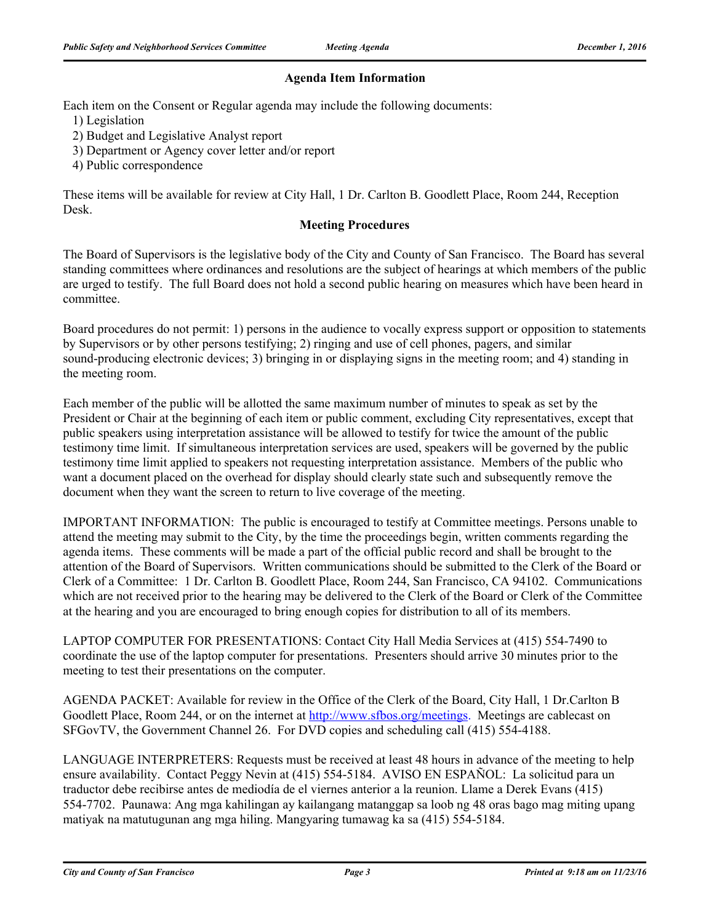## **Agenda Item Information**

Each item on the Consent or Regular agenda may include the following documents:

1) Legislation

- 2) Budget and Legislative Analyst report
- 3) Department or Agency cover letter and/or report
- 4) Public correspondence

These items will be available for review at City Hall, 1 Dr. Carlton B. Goodlett Place, Room 244, Reception Desk.

## **Meeting Procedures**

The Board of Supervisors is the legislative body of the City and County of San Francisco. The Board has several standing committees where ordinances and resolutions are the subject of hearings at which members of the public are urged to testify. The full Board does not hold a second public hearing on measures which have been heard in committee.

Board procedures do not permit: 1) persons in the audience to vocally express support or opposition to statements by Supervisors or by other persons testifying; 2) ringing and use of cell phones, pagers, and similar sound-producing electronic devices; 3) bringing in or displaying signs in the meeting room; and 4) standing in the meeting room.

Each member of the public will be allotted the same maximum number of minutes to speak as set by the President or Chair at the beginning of each item or public comment, excluding City representatives, except that public speakers using interpretation assistance will be allowed to testify for twice the amount of the public testimony time limit. If simultaneous interpretation services are used, speakers will be governed by the public testimony time limit applied to speakers not requesting interpretation assistance. Members of the public who want a document placed on the overhead for display should clearly state such and subsequently remove the document when they want the screen to return to live coverage of the meeting.

IMPORTANT INFORMATION: The public is encouraged to testify at Committee meetings. Persons unable to attend the meeting may submit to the City, by the time the proceedings begin, written comments regarding the agenda items. These comments will be made a part of the official public record and shall be brought to the attention of the Board of Supervisors. Written communications should be submitted to the Clerk of the Board or Clerk of a Committee: 1 Dr. Carlton B. Goodlett Place, Room 244, San Francisco, CA 94102. Communications which are not received prior to the hearing may be delivered to the Clerk of the Board or Clerk of the Committee at the hearing and you are encouraged to bring enough copies for distribution to all of its members.

LAPTOP COMPUTER FOR PRESENTATIONS: Contact City Hall Media Services at (415) 554-7490 to coordinate the use of the laptop computer for presentations. Presenters should arrive 30 minutes prior to the meeting to test their presentations on the computer.

AGENDA PACKET: Available for review in the Office of the Clerk of the Board, City Hall, 1 Dr.Carlton B Goodlett Place, Room 244, or on the internet at http://www.sfbos.org/meetings. Meetings are cablecast on SFGovTV, the Government Channel 26. For DVD copies and scheduling call (415) 554-4188.

LANGUAGE INTERPRETERS: Requests must be received at least 48 hours in advance of the meeting to help ensure availability. Contact Peggy Nevin at (415) 554-5184. AVISO EN ESPAÑOL: La solicitud para un traductor debe recibirse antes de mediodía de el viernes anterior a la reunion. Llame a Derek Evans (415) 554-7702. Paunawa: Ang mga kahilingan ay kailangang matanggap sa loob ng 48 oras bago mag miting upang matiyak na matutugunan ang mga hiling. Mangyaring tumawag ka sa (415) 554-5184.